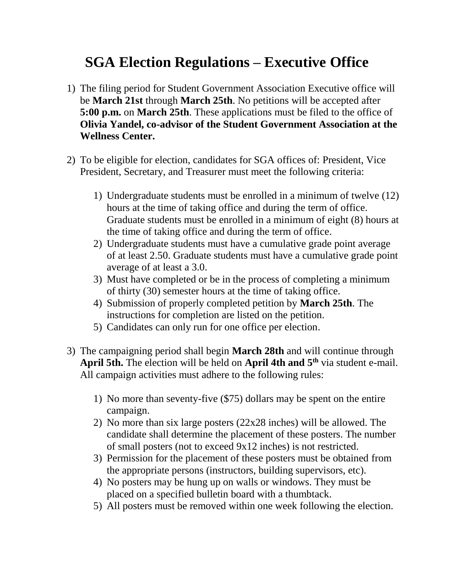## **SGA Election Regulations – Executive Office**

- 1) The filing period for Student Government Association Executive office will be **March 21st** through **March 25th**. No petitions will be accepted after **5:00 p.m.** on **March 25th**. These applications must be filed to the office of **Olivia Yandel, co-advisor of the Student Government Association at the Wellness Center.**
- 2) To be eligible for election, candidates for SGA offices of: President, Vice President, Secretary, and Treasurer must meet the following criteria:
	- 1) Undergraduate students must be enrolled in a minimum of twelve (12) hours at the time of taking office and during the term of office. Graduate students must be enrolled in a minimum of eight (8) hours at the time of taking office and during the term of office.
	- 2) Undergraduate students must have a cumulative grade point average of at least 2.50. Graduate students must have a cumulative grade point average of at least a 3.0.
	- 3) Must have completed or be in the process of completing a minimum of thirty (30) semester hours at the time of taking office.
	- 4) Submission of properly completed petition by **March 25th**. The instructions for completion are listed on the petition.
	- 5) Candidates can only run for one office per election.
- 3) The campaigning period shall begin **March 28th** and will continue through April 5th. The election will be held on April 4th and 5<sup>th</sup> via student e-mail. All campaign activities must adhere to the following rules:
	- 1) No more than seventy-five (\$75) dollars may be spent on the entire campaign.
	- 2) No more than six large posters (22x28 inches) will be allowed. The candidate shall determine the placement of these posters. The number of small posters (not to exceed 9x12 inches) is not restricted.
	- 3) Permission for the placement of these posters must be obtained from the appropriate persons (instructors, building supervisors, etc).
	- 4) No posters may be hung up on walls or windows. They must be placed on a specified bulletin board with a thumbtack.
	- 5) All posters must be removed within one week following the election.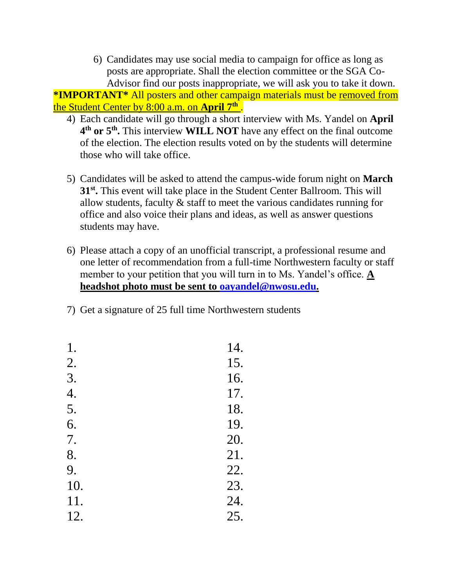6) Candidates may use social media to campaign for office as long as posts are appropriate. Shall the election committee or the SGA Co-Advisor find our posts inappropriate, we will ask you to take it down.

**\*IMPORTANT\*** All posters and other campaign materials must be removed from the Student Center by 8:00 a.m. on **April 7 th** .

- 4) Each candidate will go through a short interview with Ms. Yandel on **April 4 th or 5 th .** This interview **WILL NOT** have any effect on the final outcome of the election. The election results voted on by the students will determine those who will take office.
- 5) Candidates will be asked to attend the campus-wide forum night on **March** 31<sup>st</sup>. This event will take place in the Student Center Ballroom. This will allow students, faculty & staff to meet the various candidates running for office and also voice their plans and ideas, as well as answer questions students may have.
- 6) Please attach a copy of an unofficial transcript, a professional resume and one letter of recommendation from a full-time Northwestern faculty or staff member to your petition that you will turn in to Ms. Yandel's office. **A headshot photo must be sent to [oayandel@nwosu.edu.](mailto:oayandel@nwosu.edu)**
- 7) Get a signature of 25 full time Northwestern students

| 14. |
|-----|
| 15. |
| 16. |
| 17. |
| 18. |
| 19. |
| 20. |
| 21. |
| 22. |
| 23. |
| 24. |
| 25. |
|     |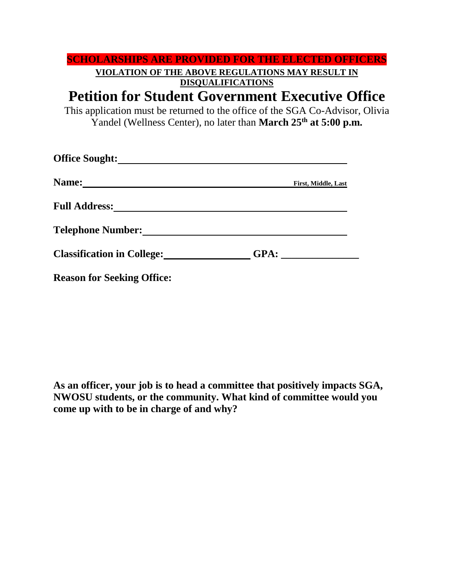|                       | <b>SCHOLARSHIPS ARE PROVIDED FOR THE ELECTED OFFICERS</b>                                                                                                          |
|-----------------------|--------------------------------------------------------------------------------------------------------------------------------------------------------------------|
|                       | VIOLATION OF THE ABOVE REGULATIONS MAY RESULT IN                                                                                                                   |
|                       | <b>DISQUALIFICATIONS</b>                                                                                                                                           |
|                       | <b>Petition for Student Government Executive Office</b>                                                                                                            |
|                       | This application must be returned to the office of the SGA Co-Advisor, Olivia<br>Yandel (Wellness Center), no later than <b>March 25<sup>th</sup> at 5:00 p.m.</b> |
| <b>Office Sought:</b> |                                                                                                                                                                    |
| <b>Name:</b>          | <b>First, Middle, Last</b>                                                                                                                                         |

**Full Address:**

**Telephone Number:**

| <b>Classification in College:</b> | GPA: |
|-----------------------------------|------|
|                                   |      |

**Reason for Seeking Office:**

**As an officer, your job is to head a committee that positively impacts SGA, NWOSU students, or the community. What kind of committee would you come up with to be in charge of and why?**